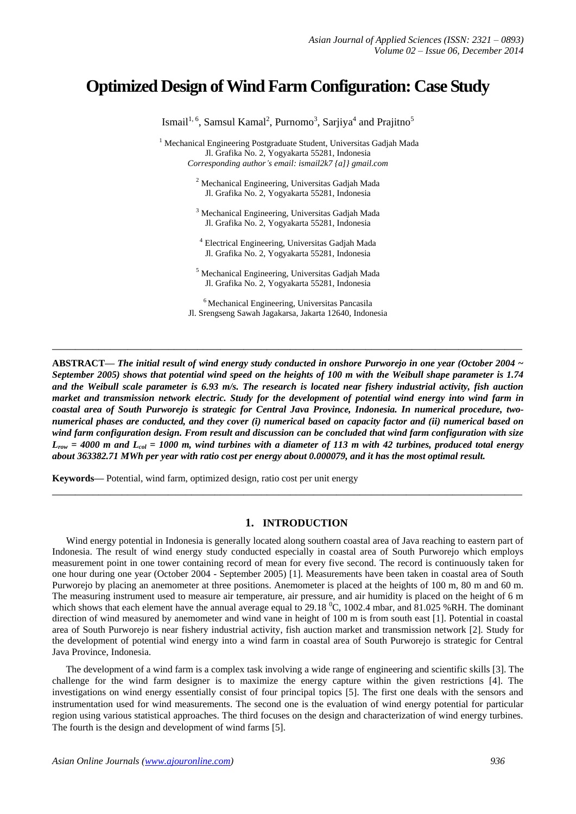# **Optimized Design ofWind Farm Configuration: Case Study**

Ismail<sup>1, 6</sup>, Samsul Kamal<sup>2</sup>, Purnomo<sup>3</sup>, Sarjiya<sup>4</sup> and Prajitno<sup>5</sup> <sup>1</sup> Mechanical Engineering Postgraduate Student, Universitas Gadjah Mada Jl. Grafika No. 2, Yogyakarta 55281, Indonesia *Corresponding author's email: ismail2k7 {a]} gmail.com* <sup>2</sup> Mechanical Engineering, Universitas Gadjah Mada Jl. Grafika No. 2, Yogyakarta 55281, Indonesia <sup>3</sup> Mechanical Engineering, Universitas Gadjah Mada Jl. Grafika No. 2, Yogyakarta 55281, Indonesia

> <sup>4</sup> Electrical Engineering, Universitas Gadjah Mada Jl. Grafika No. 2, Yogyakarta 55281, Indonesia

<sup>5</sup> Mechanical Engineering, Universitas Gadjah Mada Jl. Grafika No. 2, Yogyakarta 55281, Indonesia

<sup>6</sup> Mechanical Engineering, Universitas Pancasila Jl. Srengseng Sawah Jagakarsa, Jakarta 12640, Indonesia

**\_\_\_\_\_\_\_\_\_\_\_\_\_\_\_\_\_\_\_\_\_\_\_\_\_\_\_\_\_\_\_\_\_\_\_\_\_\_\_\_\_\_\_\_\_\_\_\_\_\_\_\_\_\_\_\_\_\_\_\_\_\_\_\_\_\_\_\_\_\_\_\_\_\_\_\_\_\_\_\_\_**

**ABSTRACT—** *The initial result of wind energy study conducted in onshore Purworejo in one year (October 2004 ~ September 2005) shows that potential wind speed on the heights of 100 m with the Weibull shape parameter is 1.74 and the Weibull scale parameter is 6.93 m/s. The research is located near fishery industrial activity, fish auction market and transmission network electric. Study for the development of potential wind energy into wind farm in coastal area of South Purworejo is strategic for Central Java Province, Indonesia. In numerical procedure, twonumerical phases are conducted, and they cover (i) numerical based on capacity factor and (ii) numerical based on wind farm configuration design. From result and discussion can be concluded that wind farm configuration with size Lrow = 4000 m and Lcol = 1000 m, wind turbines with a diameter of 113 m with 42 turbines, produced total energy about 363382.71 MWh per year with ratio cost per energy about 0.000079, and it has the most optimal result.*

**Keywords—** Potential, wind farm, optimized design, ratio cost per unit energy

### **1. INTRODUCTION**

**\_\_\_\_\_\_\_\_\_\_\_\_\_\_\_\_\_\_\_\_\_\_\_\_\_\_\_\_\_\_\_\_\_\_\_\_\_\_\_\_\_\_\_\_\_\_\_\_\_\_\_\_\_\_\_\_\_\_\_\_\_\_\_\_\_\_\_\_\_\_\_\_\_\_\_\_\_\_\_\_\_**

Wind energy potential in Indonesia is generally located along southern coastal area of Java reaching to eastern part of Indonesia. The result of wind energy study conducted especially in coastal area of South Purworejo which employs measurement point in one tower containing record of mean for every five second. The record is continuously taken for one hour during one year (October 2004 - September 2005) [1]. Measurements have been taken in coastal area of South Purworejo by placing an anemometer at three positions. Anemometer is placed at the heights of 100 m, 80 m and 60 m. The measuring instrument used to measure air temperature, air pressure, and air humidity is placed on the height of 6 m which shows that each element have the annual average equal to 29.18  $^{\circ}$ C, 1002.4 mbar, and 81.025 %RH. The dominant direction of wind measured by anemometer and wind vane in height of 100 m is from south east [1]. Potential in coastal area of South Purworejo is near fishery industrial activity, fish auction market and transmission network [2]. Study for the development of potential wind energy into a wind farm in coastal area of South Purworejo is strategic for Central Java Province, Indonesia.

The development of a wind farm is a complex task involving a wide range of engineering and scientific skills [3]. The challenge for the wind farm designer is to maximize the energy capture within the given restrictions [4]. The investigations on wind energy essentially consist of four principal topics [5]. The first one deals with the sensors and instrumentation used for wind measurements. The second one is the evaluation of wind energy potential for particular region using various statistical approaches. The third focuses on the design and characterization of wind energy turbines. The fourth is the design and development of wind farms [5].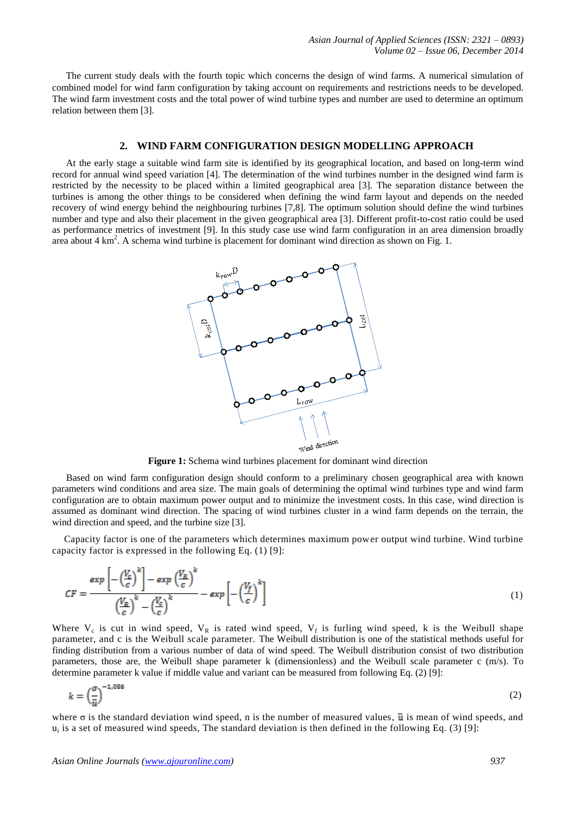The current study deals with the fourth topic which concerns the design of wind farms. A numerical simulation of combined model for wind farm configuration by taking account on requirements and restrictions needs to be developed. The wind farm investment costs and the total power of wind turbine types and number are used to determine an optimum relation between them [3].

#### **2. WIND FARM CONFIGURATION DESIGN MODELLING APPROACH**

At the early stage a suitable wind farm site is identified by its geographical location, and based on long-term wind record for annual wind speed variation [4]. The determination of the wind turbines number in the designed wind farm is restricted by the necessity to be placed within a limited geographical area [3]. The separation distance between the turbines is among the other things to be considered when defining the wind farm layout and depends on the needed recovery of wind energy behind the neighbouring turbines [7,8]. The optimum solution should define the wind turbines number and type and also their placement in the given geographical area [3]. Different profit-to-cost ratio could be used as performance metrics of investment [9]. In this study case use wind farm configuration in an area dimension broadly area about 4 km<sup>2</sup>. A schema wind turbine is placement for dominant wind direction as shown on Fig. 1.



**Figure 1:** Schema wind turbines placement for dominant wind direction

Based on wind farm configuration design should conform to a preliminary chosen geographical area with known parameters wind conditions and area size. The main goals of determining the optimal wind turbines type and wind farm configuration are to obtain maximum power output and to minimize the investment costs. In this case, wind direction is assumed as dominant wind direction. The spacing of wind turbines cluster in a wind farm depends on the terrain, the wind direction and speed, and the turbine size [3].

Capacity factor is one of the parameters which determines maximum power output wind turbine. Wind turbine capacity factor is expressed in the following Eq. (1) [9]:

$$
CF = \frac{\exp\left[-\left(\frac{V_c}{c}\right)^k\right] - \exp\left(\frac{V_R}{c}\right)^k}{\left(\frac{V_R}{c}\right)^k - \left(\frac{V_c}{c}\right)^k} - \exp\left[-\left(\frac{V_f}{c}\right)^k\right] \tag{1}
$$

Where  $V_c$  is cut in wind speed,  $V_R$  is rated wind speed,  $V_f$  is furling wind speed, k is the Weibull shape parameter, and c is the Weibull scale parameter. The Weibull distribution is one of the statistical methods useful for finding distribution from a various number of data of wind speed. The Weibull distribution consist of two distribution parameters, those are, the Weibull shape parameter k (dimensionless) and the Weibull scale parameter c (m/s). To determine parameter k value if middle value and variant can be measured from following Eq. (2) [9]:

$$
k = \left(\frac{\sigma}{\bar{u}}\right)^{-1,086} \tag{2}
$$

where  $\sigma$  is the standard deviation wind speed, n is the number of measured values,  $\bar{u}$  is mean of wind speeds, and u<sub>i</sub> is a set of measured wind speeds, The standard deviation is then defined in the following Eq. (3) [9]: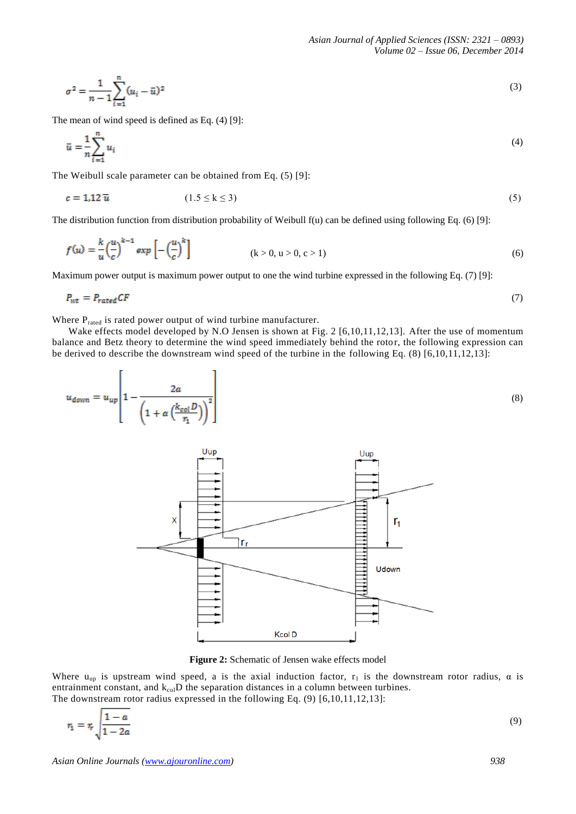$$
\sigma^2 = \frac{1}{n-1} \sum_{i=1}^n (u_i - \bar{u})^2
$$
\n(3)

The mean of wind speed is defined as Eq. (4) [9]:

$$
\bar{u} = -\frac{1}{n} \sum_{i=1}^{n} u_i \tag{4}
$$

The Weibull scale parameter can be obtained from Eq. (5) [9]:

$$
c = 1.12 \overline{u} \tag{5}
$$

The distribution function from distribution probability of Weibull  $f(u)$  can be defined using following Eq. (6) [9]:

$$
f(u) = \frac{k}{u} \left(\frac{u}{c}\right)^{k-1} \exp\left[-\left(\frac{u}{c}\right)^k\right] \tag{6}
$$

Maximum power output is maximum power output to one the wind turbine expressed in the following Eq. (7) [9]:

$$
P_{wt} = P_{rated} CF \tag{7}
$$

Where P<sub>rated</sub> is rated power output of wind turbine manufacturer.

Wake effects model developed by N.O Jensen is shown at Fig. 2 [6,10,11,12,13]. After the use of momentum balance and Betz theory to determine the wind speed immediately behind the rotor, the following expression can be derived to describe the downstream wind speed of the turbine in the following Eq. (8) [6,10,11,12,13]:

$$
u_{down} = u_{up} \left[ 1 - \frac{2a}{\left( 1 + \alpha \left( \frac{k_{col}D}{r_1} \right) \right)^2} \right]
$$
(8)



**Figure 2:** Schematic of Jensen wake effects model

Where  $u_{up}$  is upstream wind speed, a is the axial induction factor,  $r_1$  is the downstream rotor radius,  $\alpha$  is entrainment constant, and  $k_{col}D$  the separation distances in a column between turbines. The downstream rotor radius expressed in the following Eq. (9) [6,10,11,12,13]:

$$
r_1 = r_r \sqrt{\frac{1 - a}{1 - 2a}}\tag{9}
$$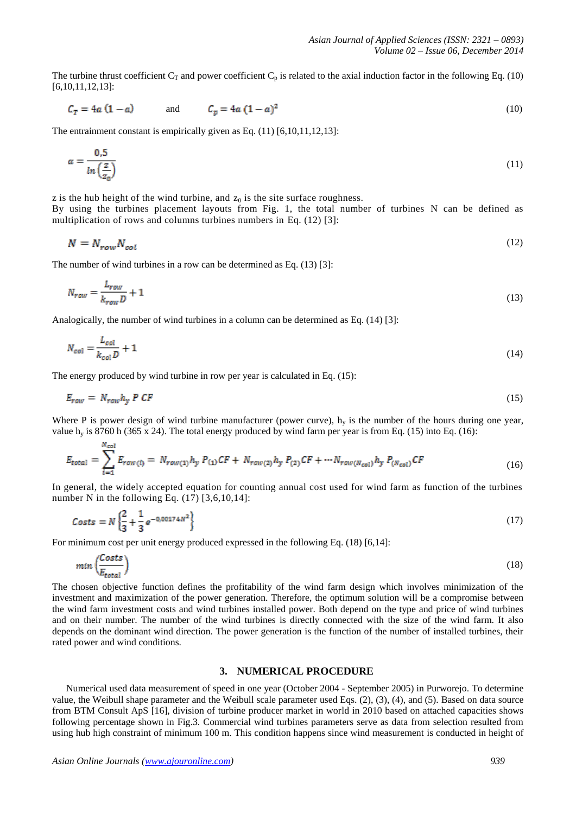The turbine thrust coefficient  $C_T$  and power coefficient  $C_p$  is related to the axial induction factor in the following Eq. (10) [6,10,11,12,13]:

$$
C_T = 4a(1-a) \qquad \text{and} \qquad C_p = 4a(1-a)^2 \tag{10}
$$

The entrainment constant is empirically given as Eq. (11) [6,10,11,12,13]:

$$
\alpha = \frac{0.5}{\ln\left(\frac{z}{z_0}\right)}\tag{11}
$$

z is the hub height of the wind turbine, and  $z_0$  is the site surface roughness. By using the turbines placement layouts from Fig. 1, the total number of turbines N can be defined as multiplication of rows and columns turbines numbers in Eq. (12) [3]:

$$
N = N_{row} N_{col} \tag{12}
$$

The number of wind turbines in a row can be determined as Eq. (13) [3]:

$$
N_{row} = \frac{L_{row}}{k_{row}D} + 1\tag{13}
$$

Analogically, the number of wind turbines in a column can be determined as Eq. (14) [3]:

$$
N_{col} = \frac{L_{col}}{k_{col}D} + 1\tag{14}
$$

The energy produced by wind turbine in row per year is calculated in Eq. (15):

$$
E_{row} = N_{row} h_y P C F \tag{15}
$$

Where P is power design of wind turbine manufacturer (power curve),  $h_y$  is the number of the hours during one year, value h<sub>y</sub> is 8760 h (365 x 24). The total energy produced by wind farm per year is from Eq. (15) into Eq. (16):

$$
E_{\text{total}} = \sum_{i=1}^{N_{\text{col}}} E_{\text{row}(i)} = N_{\text{row}(1)} h_{\text{y}} P_{(1)} C F + N_{\text{row}(2)} h_{\text{y}} P_{(2)} C F + \cdots N_{\text{row}(N_{\text{col}})} h_{\text{y}} P_{(N_{\text{col}})} C F \tag{16}
$$

In general, the widely accepted equation for counting annual cost used for wind farm as function of the turbines number N in the following Eq.  $(17)$  [3,6,10,14]:

$$
Costs = N \left\{ \frac{2}{3} + \frac{1}{3} e^{-0.00174N^2} \right\}
$$
 (17)

For minimum cost per unit energy produced expressed in the following Eq. (18) [6,14]:

$$
min\left(\frac{Costs}{E_{total}}\right) \tag{18}
$$

The chosen objective function defines the profitability of the wind farm design which involves minimization of the investment and maximization of the power generation. Therefore, the optimum solution will be a compromise between the wind farm investment costs and wind turbines installed power. Both depend on the type and price of wind turbines and on their number. The number of the wind turbines is directly connected with the size of the wind farm. It also depends on the dominant wind direction. The power generation is the function of the number of installed turbines, their rated power and wind conditions.

### **3. NUMERICAL PROCEDURE**

Numerical used data measurement of speed in one year (October 2004 - September 2005) in Purworejo. To determine value, the Weibull shape parameter and the Weibull scale parameter used Eqs. (2), (3), (4), and (5). Based on data source from BTM Consult ApS [16], division of turbine producer market in world in 2010 based on attached capacities shows following percentage shown in Fig.3. Commercial wind turbines parameters serve as data from selection resulted from using hub high constraint of minimum 100 m. This condition happens since wind measurement is conducted in height of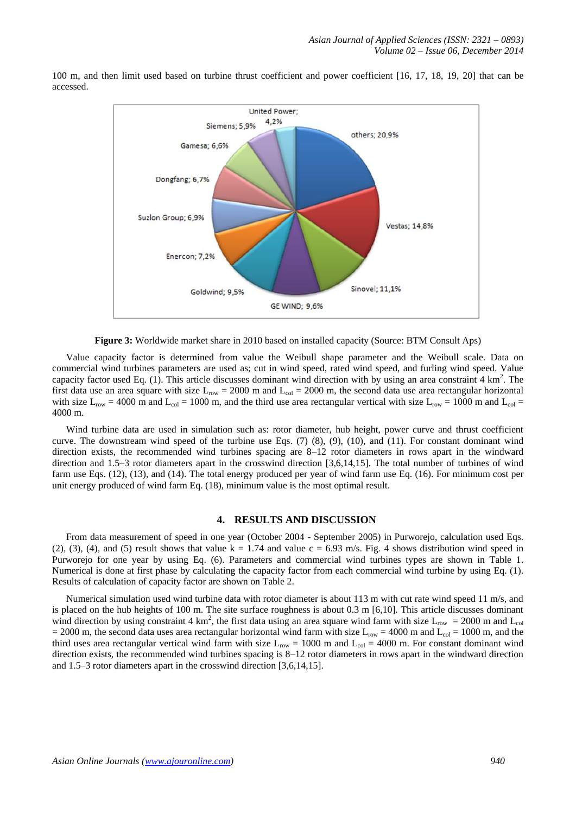

100 m, and then limit used based on turbine thrust coefficient and power coefficient [16, 17, 18, 19, 20] that can be accessed.

**Figure 3:** Worldwide market share in 2010 based on installed capacity (Source: BTM Consult Aps)

Value capacity factor is determined from value the Weibull shape parameter and the Weibull scale. Data on commercial wind turbines parameters are used as; cut in wind speed, rated wind speed, and furling wind speed. Value capacity factor used Eq.  $(1)$ . This article discusses dominant wind direction with by using an area constraint 4 km<sup>2</sup>. The first data use an area square with size  $L_{row} = 2000$  m and  $L_{col} = 2000$  m, the second data use area rectangular horizontal with size  $L_{row} = 4000$  m and  $L_{col} = 1000$  m, and the third use area rectangular vertical with size  $L_{row} = 1000$  m and  $L_{col} =$ 4000 m.

Wind turbine data are used in simulation such as: rotor diameter, hub height, power curve and thrust coefficient curve. The downstream wind speed of the turbine use Eqs. (7) (8), (9), (10), and (11). For constant dominant wind direction exists, the recommended wind turbines spacing are 8–12 rotor diameters in rows apart in the windward direction and 1.5–3 rotor diameters apart in the crosswind direction [3,6,14,15]. The total number of turbines of wind farm use Eqs. (12), (13), and (14). The total energy produced per year of wind farm use Eq. (16). For minimum cost per unit energy produced of wind farm Eq. (18), minimum value is the most optimal result.

### **4. RESULTS AND DISCUSSION**

From data measurement of speed in one year (October 2004 - September 2005) in Purworejo, calculation used Eqs. (2), (3), (4), and (5) result shows that value  $k = 1.74$  and value  $c = 6.93$  m/s. Fig. 4 shows distribution wind speed in Purworejo for one year by using Eq. (6). Parameters and commercial wind turbines types are shown in Table 1. Numerical is done at first phase by calculating the capacity factor from each commercial wind turbine by using Eq. (1). Results of calculation of capacity factor are shown on Table 2.

Numerical simulation used wind turbine data with rotor diameter is about 113 m with cut rate wind speed 11 m/s, and is placed on the hub heights of 100 m. The site surface roughness is about  $0.3 \text{ m}$  [6,10]. This article discusses dominant wind direction by using constraint 4 km<sup>2</sup>, the first data using an area square wind farm with size  $L_{row} = 2000$  m and  $L_{col}$  $= 2000$  m, the second data uses area rectangular horizontal wind farm with size  $L_{\text{row}} = 4000$  m and  $L_{\text{col}} = 1000$  m, and the third uses area rectangular vertical wind farm with size  $L_{row} = 1000$  m and  $L_{col} = 4000$  m. For constant dominant wind direction exists, the recommended wind turbines spacing is 8–12 rotor diameters in rows apart in the windward direction and 1.5–3 rotor diameters apart in the crosswind direction [3,6,14,15].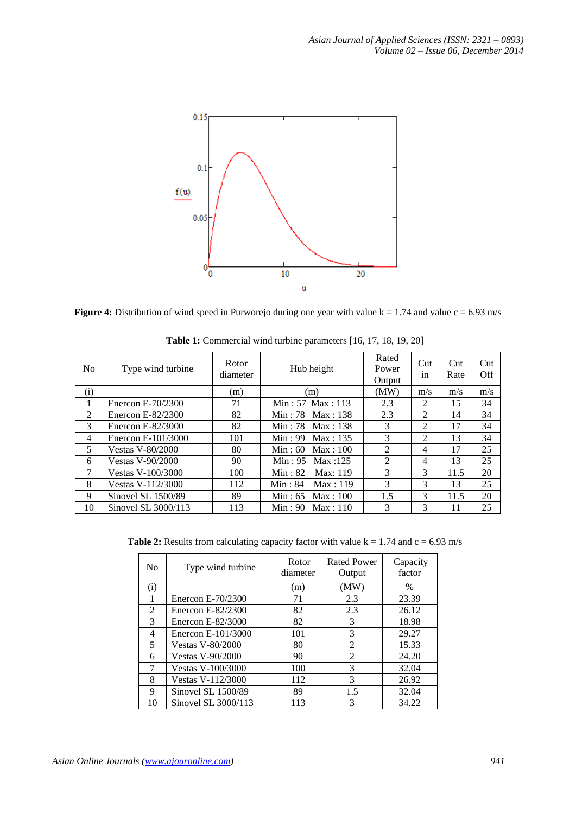

**Figure 4:** Distribution of wind speed in Purworejo during one year with value  $k = 1.74$  and value  $c = 6.93$  m/s

| N <sub>0</sub> | Type wind turbine       | Rotor<br>diameter | Hub height           | Rated<br>Power<br>Output | Cut<br>1n      | Cut<br>Rate | Cut<br>Off |
|----------------|-------------------------|-------------------|----------------------|--------------------------|----------------|-------------|------------|
| (i)            |                         | (m)               | (m)                  | (MW)                     | m/s            | m/s         | m/s        |
| 1              | Enercon $E-70/2300$     | 71                | Min: 57 Max: 113     | 2.3                      | $\mathfrak{D}$ | 15          | 34         |
| 2              | Enercon E-82/2300       | 82                | Min: 78 $Max: 138$   | 2.3                      | $\mathfrak{D}$ | 14          | 34         |
| 3              | Enercon E-82/3000       | 82                | Min: 78 $Max: 138$   | 3                        | $\mathfrak{D}$ | 17          | 34         |
| 4              | Enercon E-101/3000      | 101               | Min: 99 Max: 135     | 3                        | $\mathfrak{D}$ | 13          | 34         |
| 5              | <b>Vestas V-80/2000</b> | 80                | Min: $60$ Max: $100$ | $\mathfrak{D}$           | 4              | 17          | 25         |
| 6              | <b>Vestas V-90/2000</b> | 90                | Min: $95$ Max: 125   | 2                        | 4              | 13          | 25         |
| 7              | Vestas V-100/3000       | 100               | Min: $82$ Max: 119   | 3                        | 3              | 11.5        | 20         |
| 8              | Vestas V-112/3000       | 112               | $Min: 84$ Max: 119   | 3                        | 3              | 13          | 25         |
| 9              | Sinovel SL 1500/89      | 89                | Min: $65$ Max: $100$ | 1.5                      | 3              | 11.5        | 20         |
| 10             | Sinovel SL 3000/113     | 113               | Min: $90$ Max: 110   | 3                        | 3              | 11          | 25         |

**Table 1:** Commercial wind turbine parameters [16, 17, 18, 19, 20]

**Table 2:** Results from calculating capacity factor with value  $k = 1.74$  and  $c = 6.93$  m/s

| No. | Type wind turbine       | Rotor<br>diameter | Rated Power<br>Output | Capacity<br>factor |
|-----|-------------------------|-------------------|-----------------------|--------------------|
| (i) |                         | (m)               | (MW)                  | %                  |
| 1   | Enercon E-70/2300       | 71                | 2.3                   | 23.39              |
| 2   | Enercon E-82/2300       | 82                | 2.3                   | 26.12              |
| 3   | Enercon E-82/3000       | 82                | 3                     | 18.98              |
| 4   | Enercon E-101/3000      | 101               | 3                     | 29.27              |
| 5   | <b>Vestas V-80/2000</b> | 80                | $\mathfrak{D}$        | 15.33              |
| 6   | <b>Vestas V-90/2000</b> | 90                | 2                     | 24.20              |
|     | Vestas V-100/3000       | 100               | 3                     | 32.04              |
| 8   | Vestas V-112/3000       | 112               | 3                     | 26.92              |
| 9   | Sinovel SL 1500/89      | 89                | 1.5                   | 32.04              |
| 10  | Sinovel SL 3000/113     | 113               | 3                     | 34.22              |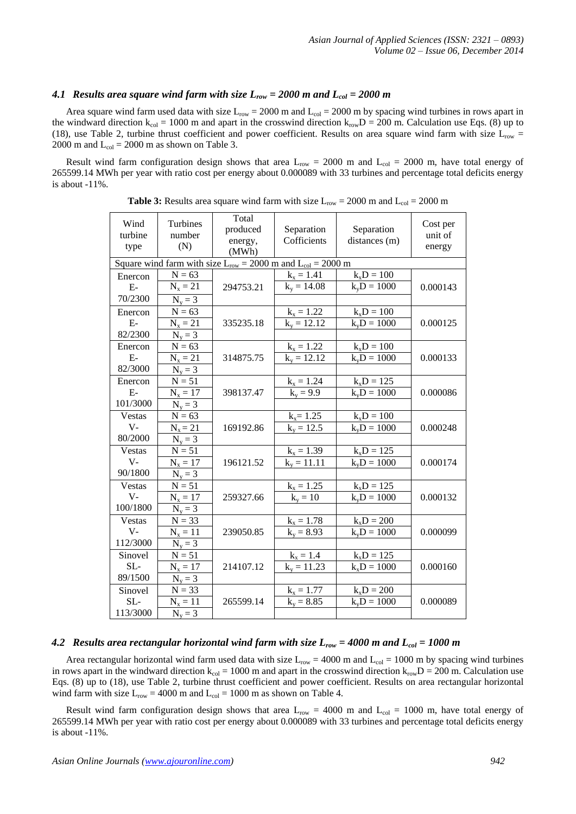## 4.1 *Results area square wind farm with size*  $L_{row} = 2000$  *m and*  $L_{col} = 2000$  *m*

Area square wind farm used data with size  $L_{row} = 2000$  m and  $L_{col} = 2000$  m by spacing wind turbines in rows apart in the windward direction  $k_{col} = 1000$  m and apart in the crosswind direction  $k_{row}D = 200$  m. Calculation use Eqs. (8) up to (18), use Table 2, turbine thrust coefficient and power coefficient. Results on area square wind farm with size  $L_{row}$  = 2000 m and  $L_{col} = 2000$  m as shown on Table 3.

Result wind farm configuration design shows that area  $L_{row} = 2000$  m and  $L_{col} = 2000$  m, have total energy of 265599.14 MWh per year with ratio cost per energy about 0.000089 with 33 turbines and percentage total deficits energy is about -11%.

| Wind<br>turbine<br>type                                              | Turbines<br>number<br>(N) | Total<br>produced<br>energy,<br>(MWh) | Separation<br>Cofficients | Separation<br>distances (m) | Cost per<br>unit of<br>energy |  |  |
|----------------------------------------------------------------------|---------------------------|---------------------------------------|---------------------------|-----------------------------|-------------------------------|--|--|
| Square wind farm with size $L_{row} = 2000$ m and $L_{col} = 2000$ m |                           |                                       |                           |                             |                               |  |  |
| Enercon                                                              | $N = 63$                  |                                       | $k_x = 1.41$              | $k_xD = 100$                |                               |  |  |
| $E-$                                                                 | $N_x = 21$                | 294753.21                             | $k_v = 14.08$             | $k_vD = 1000$               | 0.000143                      |  |  |
| 70/2300                                                              | $N_v = 3$                 |                                       |                           |                             |                               |  |  |
| Enercon                                                              | $N = 63$                  |                                       | $k_x = 1.22$              | $k_xD = 100$                |                               |  |  |
| $E-$                                                                 | $N_x = 21$                | 335235.18                             | $k_v = 12.\overline{12}$  | $k_vD = 1000$               | 0.000125                      |  |  |
| 82/2300                                                              | $N_v = 3$                 |                                       |                           |                             |                               |  |  |
| Enercon                                                              | $N = 63$                  |                                       | $k_x = 1.22$              | $k_xD = 100$                |                               |  |  |
| $E-$                                                                 | $N_x = 21$                | 314875.75                             | $k_v = 12.\overline{12}$  | $k_vD = 1000$               | 0.000133                      |  |  |
| 82/3000                                                              | $N_v = 3$                 |                                       |                           |                             |                               |  |  |
| Enercon                                                              | $N = 51$                  |                                       | $k_x = 1.24$              | $k_xD = 125$                |                               |  |  |
| $E-$                                                                 | $N_x = 17$                | 398137.47                             | $k_v = 9.9$               | $k_vD = 1000$               | 0.000086                      |  |  |
| 101/3000                                                             | $N_v = 3$                 |                                       |                           |                             |                               |  |  |
| Vestas                                                               | $N = 63$                  |                                       | $k_x = 1.25$              | $k_xD = 100$                |                               |  |  |
| $V -$                                                                | $N_x = 21$                | 169192.86                             | $k_v = 12.5$              | $k_vD = 1000$               | 0.000248                      |  |  |
| 80/2000                                                              | $N_v = 3$                 |                                       |                           |                             |                               |  |  |
| <b>Vestas</b>                                                        | $N = 5\overline{1}$       |                                       | $k_x = 1.39$              | $k_xD = 125$                |                               |  |  |
| $V -$                                                                | $N_{x} = 17$              | 196121.52                             | $k_v = 11.11$             | $k_vD = 1000$               | 0.000174                      |  |  |
| 90/1800                                                              | $N_v = 3$                 |                                       |                           |                             |                               |  |  |
| Vestas                                                               | $N = 51$                  |                                       | $k_x = 1.25$              | $k_xD = 125$                |                               |  |  |
| $V -$                                                                | $N_{x} = 17$              | 259327.66                             | $k_v = 10$                | $k_vD = 1000$               | 0.000132                      |  |  |
| 100/1800                                                             | $N_v = 3$                 |                                       |                           |                             |                               |  |  |
| <b>Vestas</b>                                                        | $N = 33$                  |                                       | $k_x = 1.78$              | $k_xD = 200$                |                               |  |  |
| $V -$                                                                | $N_x = 11$                | 239050.85                             | $k_v = 8.93$              | $k_vD = 1000$               | 0.000099                      |  |  |
| 112/3000                                                             | $N_y = 3$                 |                                       |                           |                             |                               |  |  |
| Sinovel                                                              | $N = 51$                  |                                       | $k_x = 1.4$               | $k_xD = 125$                |                               |  |  |
| SL-                                                                  | $N_{x} = 17$              | 214107.12                             | $k_v = 11.23$             | $k_xD = 1000$               | 0.000160                      |  |  |
| 89/1500                                                              | $N_v = 3$                 |                                       |                           |                             |                               |  |  |
| Sinovel                                                              | $N = 33$                  |                                       | $k_x = 1.77$              | $k_xD = 200$                |                               |  |  |
| SL-                                                                  | $N_x = 11$                | 265599.14                             | $k_v = 8.85$              | $k_vD = 1000$               | 0.000089                      |  |  |
| 113/3000                                                             | $N_v = 3$                 |                                       |                           |                             |                               |  |  |

**Table 3:** Results area square wind farm with size  $L_{row} = 2000$  m and  $L_{col} = 2000$  m

### *4.2 Results area rectangular horizontal wind farm with size Lrow = 4000 m and Lcol = 1000 m*

Area rectangular horizontal wind farm used data with size  $L_{row} = 4000$  m and  $L_{col} = 1000$  m by spacing wind turbines in rows apart in the windward direction  $k_{col} = 1000$  m and apart in the crosswind direction  $k_{row}D = 200$  m. Calculation use Eqs. (8) up to (18), use Table 2, turbine thrust coefficient and power coefficient. Results on area rectangular horizontal wind farm with size  $L_{row} = 4000$  m and  $L_{col} = 1000$  m as shown on Table 4.

Result wind farm configuration design shows that area  $L_{row} = 4000$  m and  $L_{col} = 1000$  m, have total energy of 265599.14 MWh per year with ratio cost per energy about 0.000089 with 33 turbines and percentage total deficits energy is about -11%.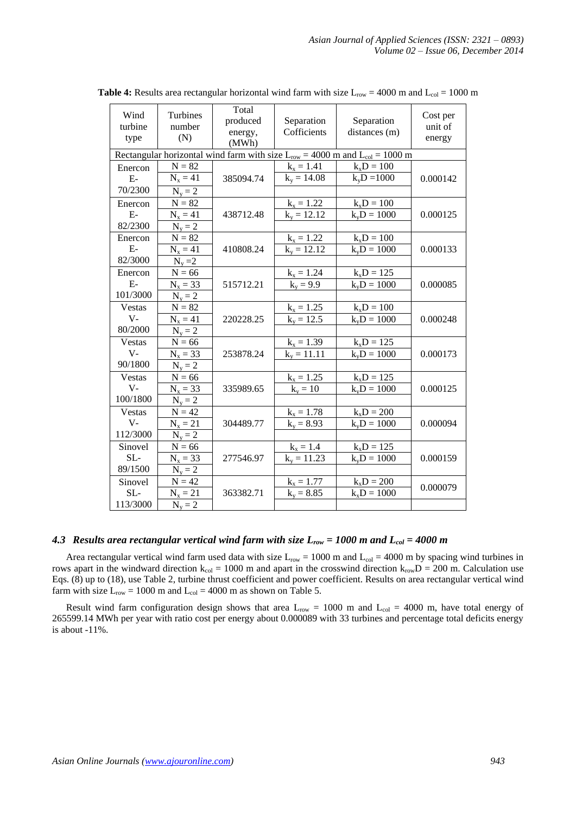| Wind<br>turbine<br>type                                                              | Turbines<br>number<br>(N) | Total<br>produced<br>energy,<br>(MWh) | Separation<br>Cofficients | Separation<br>distances (m) | Cost per<br>unit of<br>energy |  |  |
|--------------------------------------------------------------------------------------|---------------------------|---------------------------------------|---------------------------|-----------------------------|-------------------------------|--|--|
| Rectangular horizontal wind farm with size $L_{row} = 4000$ m and $L_{col} = 1000$ m |                           |                                       |                           |                             |                               |  |  |
| Enercon                                                                              | $N = 82$                  |                                       | $k_x = 1.41$              | $k_xD = 100$                |                               |  |  |
| $E-$                                                                                 | $N_x = 41$                | 385094.74                             | $k_v = 14.08$             | $k_vD = 1000$               | 0.000142                      |  |  |
| 70/2300                                                                              | $N_v = 2$                 |                                       |                           |                             |                               |  |  |
| Enercon                                                                              | $N = 82$                  |                                       | $k_x = 1.22$              | $k_xD = 100$                |                               |  |  |
| $E-$                                                                                 | $N_x = 41$                | 438712.48                             | $k_v = 12.12$             | $k_vD = 1000$               | 0.000125                      |  |  |
| 82/2300                                                                              | $N_v = 2$                 |                                       |                           |                             |                               |  |  |
| Enercon                                                                              | $N = 82$                  |                                       | $k_x = 1.22$              | $k_xD = 100$                |                               |  |  |
| $E-$                                                                                 | $N_x = 41$                | 410808.24                             | $k_v = 12.12$             | $k_vD = 1000$               | 0.000133                      |  |  |
| 82/3000                                                                              | $N_v = 2$                 |                                       |                           |                             |                               |  |  |
| Enercon                                                                              | $N = 66$                  |                                       | $k_x = 1.24$              | $k_xD = 125$                |                               |  |  |
| $E-$                                                                                 | $N_x = 33$                | 515712.21                             | $k_v = 9.9$               | $k_vD = 1000$               | 0.000085                      |  |  |
| 101/3000                                                                             | $N_v = 2$                 |                                       |                           |                             |                               |  |  |
| <b>Vestas</b>                                                                        | $N = 82$                  |                                       | $k_x = 1.25$              | $k_xD = 100$                |                               |  |  |
| $V -$                                                                                | $N_x = 41$                | 220228.25                             | $k_v = 12.5$              | $k_vD = 1000$               | 0.000248                      |  |  |
| 80/2000                                                                              | $N_v = 2$                 |                                       |                           |                             |                               |  |  |
| <b>Vestas</b>                                                                        | $N = 66$                  |                                       | $k_x = 1.39$              | $k_xD = 125$                |                               |  |  |
| $V -$                                                                                | $N_{x} = 33$              | 253878.24                             | $k_v = 11.11$             | $k_vD = 1000$               | 0.000173                      |  |  |
| 90/1800                                                                              | $N_v = 2$                 |                                       |                           |                             |                               |  |  |
| Vestas                                                                               | $N = 66$                  |                                       | $k_x = 1.25$              | $k_xD = 125$                |                               |  |  |
| $V -$                                                                                | $N_{x} = 33$              | 335989.65                             | $k_v = 10$                | $k_vD = 1000$               | 0.000125                      |  |  |
| 100/1800                                                                             | $N_v = 2$                 |                                       |                           |                             |                               |  |  |
| Vestas                                                                               | $N = 42$                  |                                       | $k_x = 1.78$              | $k_xD = 200$                |                               |  |  |
| $V -$                                                                                | $N_x = 21$                | 304489.77                             | $k_v = 8.93$              | $k_vD = 1000$               | 0.000094                      |  |  |
| 112/3000                                                                             | $N_v = 2$                 |                                       |                           |                             |                               |  |  |
| Sinovel                                                                              | $N = 66$                  |                                       | $k_x = 1.4$               | $k_xD = 125$                |                               |  |  |
| SL-                                                                                  | $N_x = 33$                | 277546.97                             | $k_v = 11.23$             | $k_vD = 1000$               | 0.000159                      |  |  |
| 89/1500                                                                              | $N_v = 2$                 |                                       |                           |                             |                               |  |  |
| Sinovel                                                                              | $N = 42$                  |                                       | $k_x = 1.77$              | $k_xD = 200$                | 0.000079                      |  |  |
| SL-                                                                                  | $N_x = 21$                | 363382.71                             | $k_v = 8.85$              | $k_xD = 1000$               |                               |  |  |
| 113/3000                                                                             | $N_v = 2$                 |                                       |                           |                             |                               |  |  |

**Table 4:** Results area rectangular horizontal wind farm with size  $L_{row} = 4000$  m and  $L_{col} = 1000$  m

## *4.3 Results area rectangular vertical wind farm with size Lrow = 1000 m and Lcol = 4000 m*

Area rectangular vertical wind farm used data with size  $L_{row} = 1000$  m and  $L_{col} = 4000$  m by spacing wind turbines in rows apart in the windward direction  $k_{col} = 1000$  m and apart in the crosswind direction  $k_{row}D = 200$  m. Calculation use Eqs. (8) up to (18), use Table 2, turbine thrust coefficient and power coefficient. Results on area rectangular vertical wind farm with size  $L_{row} = 1000$  m and  $L_{col} = 4000$  m as shown on Table 5.

Result wind farm configuration design shows that area  $L_{row} = 1000$  m and  $L_{col} = 4000$  m, have total energy of 265599.14 MWh per year with ratio cost per energy about 0.000089 with 33 turbines and percentage total deficits energy is about -11%.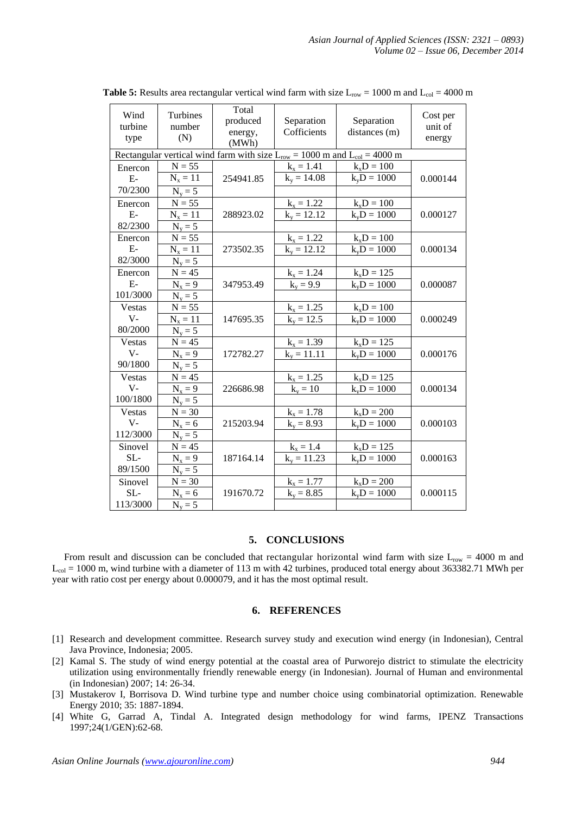| Wind<br>turbine<br>type                                                            | Turbines<br>number<br>(N) | Total<br>produced<br>energy,<br>(MWh) | Separation<br>Cofficients | Separation<br>distances (m) | Cost per<br>unit of<br>energy |  |
|------------------------------------------------------------------------------------|---------------------------|---------------------------------------|---------------------------|-----------------------------|-------------------------------|--|
| Rectangular vertical wind farm with size $L_{row} = 1000$ m and $L_{col} = 4000$ m |                           |                                       |                           |                             |                               |  |
| Enercon                                                                            | $N = 55$                  |                                       | $k_x = 1.41$              | $k_xD = 100$                |                               |  |
| $E-$                                                                               | $N_{x} = 11$              | 254941.85                             | $k_v = 14.08$             | $k_vD = 1000$               | 0.000144                      |  |
| 70/2300                                                                            | $N_v = 5$                 |                                       |                           |                             |                               |  |
| Enercon                                                                            | $N = 55$                  |                                       | $k_x = 1.22$              | $k_xD = 100$                |                               |  |
| $E-$                                                                               | $N_x = 11$                | 288923.02                             | $k_v = 12.12$             | $k_vD = 1000$               | 0.000127                      |  |
| 82/2300                                                                            | $N_v = 5$                 |                                       |                           |                             |                               |  |
| Enercon                                                                            | $N = 55$                  |                                       | $k_x = 1.22$              | $k_xD = 100$                |                               |  |
| $E-$                                                                               | $N_x = 11$                | 273502.35                             | $k_v = 12.12$             | $k_vD = 1000$               | 0.000134                      |  |
| 82/3000                                                                            | $N_y = 5$                 |                                       |                           |                             |                               |  |
| Enercon                                                                            | $N = 45$                  |                                       | $k_x = 1.24$              | $k_xD = 125$                |                               |  |
| $E-$                                                                               | $N_x = 9$                 | 347953.49                             | $k_v = 9.9$               | $k_vD = 1000$               | 0.000087                      |  |
| 101/3000                                                                           | $N_v = 5$                 |                                       |                           |                             |                               |  |
| Vestas                                                                             | $N = 55$                  |                                       | $k_x = 1.25$              | $k_xD = 100$                |                               |  |
| $V -$                                                                              | $N_x = 11$                | 147695.35                             | $k_v = 12.5$              | $k_vD = 1000$               | 0.000249                      |  |
| 80/2000                                                                            | $N_v = 5$                 |                                       |                           |                             |                               |  |
| Vestas                                                                             | $N = 45$                  |                                       | $k_x = 1.39$              | $k_xD = 125$                |                               |  |
| $V -$                                                                              | $N_x = 9$                 | 172782.27                             | $k_v = 11.11$             | $k_vD = 1000$               | 0.000176                      |  |
| 90/1800                                                                            | $N_v = 5$                 |                                       |                           |                             |                               |  |
| Vestas                                                                             | $\mathbf{N}=45$           |                                       | $k_x = 1.25$              | $k_xD = 125$                |                               |  |
| $V -$                                                                              | $N_x = 9$                 | 226686.98                             | $k_v = 10$                | $k_vD = 1000$               | 0.000134                      |  |
| 100/1800                                                                           | $N_v = 5$                 |                                       |                           |                             |                               |  |
| Vestas                                                                             | $N = 30$                  |                                       | $k_x = 1.78$              | $k_xD = 200$                |                               |  |
| $V -$                                                                              | $N_x = 6$                 | 215203.94                             | $k_v = 8.93$              | $k_vD = 1000$               | 0.000103                      |  |
| 112/3000                                                                           | $N_v = 5$                 |                                       |                           |                             |                               |  |
| Sinovel                                                                            | $N = 45$                  |                                       | $k_x = 1.4$               | $k_xD = 125$                |                               |  |
| SL-                                                                                | $N_x = 9$                 | 187164.14                             | $k_v = 11.23$             | $k_vD = 1000$               | 0.000163                      |  |
| 89/1500                                                                            | $N_v = 5$                 |                                       |                           |                             |                               |  |
| Sinovel                                                                            | $N = 30$                  |                                       | $k_x = 1.77$              | $k_xD = 200$                |                               |  |
| SL-                                                                                | $N_x = 6$                 | 191670.72                             | $k_v = 8.85$              | $k_vD = 1000$               | 0.000115                      |  |
| 113/3000                                                                           | $N_v = 5$                 |                                       |                           |                             |                               |  |

**Table 5:** Results area rectangular vertical wind farm with size  $L_{row} = 1000$  m and  $L_{col} = 4000$  m

## **5. CONCLUSIONS**

From result and discussion can be concluded that rectangular horizontal wind farm with size  $L_{row} = 4000$  m and  $L_{col}$  = 1000 m, wind turbine with a diameter of 113 m with 42 turbines, produced total energy about 363382.71 MWh per year with ratio cost per energy about 0.000079, and it has the most optimal result.

## **6. REFERENCES**

- [1] Research and development committee. Research survey study and execution wind energy (in Indonesian), Central Java Province, Indonesia; 2005.
- [2] Kamal S. The study of wind energy potential at the coastal area of Purworejo district to stimulate the electricity utilization using environmentally friendly renewable energy (in Indonesian). Journal of Human and environmental (in Indonesian) 2007; 14: 26-34.
- [3] Mustakerov I, Borrisova D. Wind turbine type and number choice using combinatorial optimization. Renewable Energy 2010; 35: 1887-1894.
- [4] White G, Garrad A, Tindal A. Integrated design methodology for wind farms, IPENZ Transactions 1997;24(1/GEN):62-68.